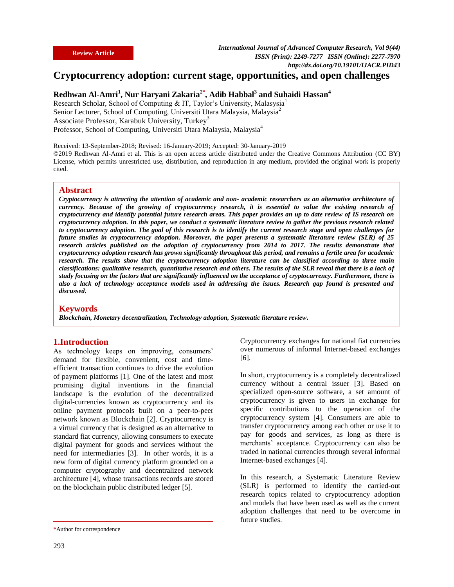# **Cryptocurrency adoption: current stage, opportunities, and open challenges**

## **Redhwan Al-Amri<sup>1</sup> , Nur Haryani Zakaria2\* , Adib Habbal<sup>3</sup> and Suhaidi Hassan<sup>4</sup>**

Research Scholar, School of Computing & IT, Taylor's University, Malasysia<sup>1</sup> Senior Lecturer, School of Computing, Universiti Utara Malaysia, Malaysia<sup>2</sup> Associate Professor, Karabuk University, Turkey<sup>3</sup> Professor, School of Computing, Universiti Utara Malaysia, Malaysia<sup>4</sup>

Received: 13-September-2018; Revised: 16-January-2019; Accepted: 30-January-2019 ©2019 Redhwan Al-Amri et al. This is an open access article distributed under the Creative Commons Attribution (CC BY) License, which permits unrestricted use, distribution, and reproduction in any medium, provided the original work is properly cited.

#### **Abstract**

*Cryptocurrency is attracting the attention of academic and non- academic researchers as an alternative architecture of currency. Because of the growing of cryptocurrency research, it is essential to value the existing research of cryptocurrency and identify potential future research areas. This paper provides an up to date review of IS research on cryptocurrency adoption. In this paper, we conduct a systematic literature review to gather the previous research related to cryptocurrency adoption. The goal of this research is to identify the current research stage and open challenges for future studies in cryptocurrency adoption. Moreover, the paper presents a systematic literature review (SLR) of 25 research articles published on the adoption of cryptocurrency from 2014 to 2017. The results demonstrate that cryptocurrency adoption research has grown significantly throughout this period, and remains a fertile area for academic research. The results show that the cryptocurrency adoption literature can be classified according to three main classifications: qualitative research, quantitative research and others. The results of the SLR reveal that there is a lack of study focusing on the factors that are significantly influenced on the acceptance of cryptocurrency. Furthermore, there is also a lack of technology acceptance models used in addressing the issues. Research gap found is presented and discussed.*

#### **Keywords**

*Blockchain, Monetary decentralization, Technology adoption, Systematic literature review.*

#### **1.Introduction**

As technology keeps on improving, consumers' demand for flexible, convenient, cost and timeefficient transaction continues to drive the evolution of payment platforms [1]. One of the latest and most promising digital inventions in the financial landscape is the evolution of the decentralized digital-currencies known as cryptocurrency and its online payment protocols built on a peer-to-peer network known as Blockchain [2]. Cryptocurrency is a virtual currency that is designed as an alternative to standard fiat currency, allowing consumers to execute digital payment for goods and services without the need for intermediaries [3]. In other words, it is a new form of digital currency platform grounded on a computer cryptography and decentralized network architecture [4], whose transactions records are stored on the blockchain public distributed ledger [5].

Cryptocurrency exchanges for national fiat currencies over numerous of informal Internet-based exchanges [6].

In short, cryptocurrency is a completely decentralized currency without a central issuer [3]. Based on specialized open-source software, a set amount of cryptocurrency is given to users in exchange for specific contributions to the operation of the cryptocurrency system [4]. Consumers are able to transfer cryptocurrency among each other or use it to pay for goods and services, as long as there is merchants' acceptance. Cryptocurrency can also be traded in national currencies through several informal Internet-based exchanges [4].

In this research, a Systematic Literature Review (SLR) is performed to identify the carried-out research topics related to cryptocurrency adoption and models that have been used as well as the current adoption challenges that need to be overcome in future studies.

<sup>\*</sup>Author for correspondence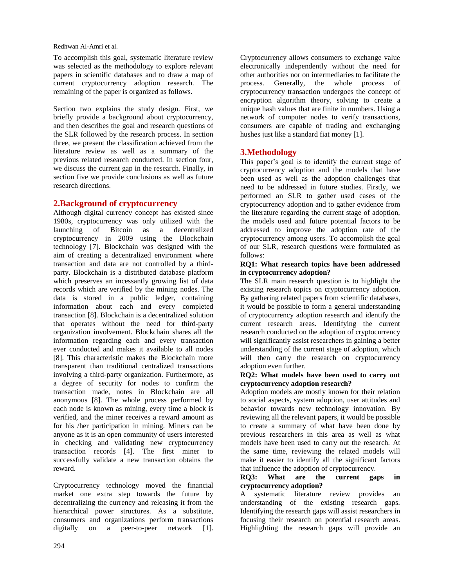To accomplish this goal, systematic literature review was selected as the methodology to explore relevant papers in scientific databases and to draw a map of current cryptocurrency adoption research. The remaining of the paper is organized as follows.

Section two explains the study design. First, we briefly provide a background about cryptocurrency, and then describes the goal and research questions of the SLR followed by the research process. In section three, we present the classification achieved from the literature review as well as a summary of the previous related research conducted. In section four, we discuss the current gap in the research. Finally, in section five we provide conclusions as well as future research directions.

### **2.Background of cryptocurrency**

Although digital currency concept has existed since 1980s, cryptocurrency was only utilized with the launching of Bitcoin as a decentralized cryptocurrency in 2009 using the Blockchain technology [7]. Blockchain was designed with the aim of creating a decentralized environment where transaction and data are not controlled by a thirdparty. Blockchain is a distributed database platform which preserves an incessantly growing list of data records which are verified by the mining nodes. The data is stored in a public ledger, containing information about each and every completed transaction [8]. Blockchain is a decentralized solution that operates without the need for third-party organization involvement. Blockchain shares all the information regarding each and every transaction ever conducted and makes it available to all nodes [8]. This characteristic makes the Blockchain more transparent than traditional centralized transactions involving a third-party organization. Furthermore, as a degree of security for nodes to confirm the transaction made, notes in Blockchain are all anonymous [8]. The whole process performed by each node is known as mining, every time a block is verified, and the miner receives a reward amount as for his /her participation in mining. Miners can be anyone as it is an open community of users interested in checking and validating new cryptocurrency transaction records [4]. The first miner to successfully validate a new transaction obtains the reward.

Cryptocurrency technology moved the financial market one extra step towards the future by decentralizing the currency and releasing it from the hierarchical power structures. As a substitute, consumers and organizations perform transactions digitally on a peer-to-peer network [1].

Cryptocurrency allows consumers to exchange value electronically independently without the need for other authorities nor on intermediaries to facilitate the process. Generally, the whole process of cryptocurrency transaction undergoes the concept of encryption algorithm theory, solving to create a unique hash values that are finite in numbers. Using a network of computer nodes to verify transactions, consumers are capable of trading and exchanging hushes just like a standard fiat money [1].

### **3.Methodology**

This paper's goal is to identify the current stage of cryptocurrency adoption and the models that have been used as well as the adoption challenges that need to be addressed in future studies. Firstly, we performed an SLR to gather used cases of the cryptocurrency adoption and to gather evidence from the literature regarding the current stage of adoption, the models used and future potential factors to be addressed to improve the adoption rate of the cryptocurrency among users. To accomplish the goal of our SLR, research questions were formulated as follows:

#### **RQ1: What research topics have been addressed in cryptocurrency adoption?**

The SLR main research question is to highlight the existing research topics on cryptocurrency adoption. By gathering related papers from scientific databases, it would be possible to form a general understanding of cryptocurrency adoption research and identify the current research areas. Identifying the current research conducted on the adoption of cryptocurrency will significantly assist researchers in gaining a better understanding of the current stage of adoption, which will then carry the research on cryptocurrency adoption even further.

#### **RQ2: What models have been used to carry out cryptocurrency adoption research?**

Adoption models are mostly known for their relation to social aspects, system adoption, user attitudes and behavior towards new technology innovation. By reviewing all the relevant papers, it would be possible to create a summary of what have been done by previous researchers in this area as well as what models have been used to carry out the research. At the same time, reviewing the related models will make it easier to identify all the significant factors that influence the adoption of cryptocurrency.

#### **RQ3: What are the current gaps in cryptocurrency adoption?**

A systematic literature review provides an understanding of the existing research gaps. Identifying the research gaps will assist researchers in focusing their research on potential research areas. Highlighting the research gaps will provide an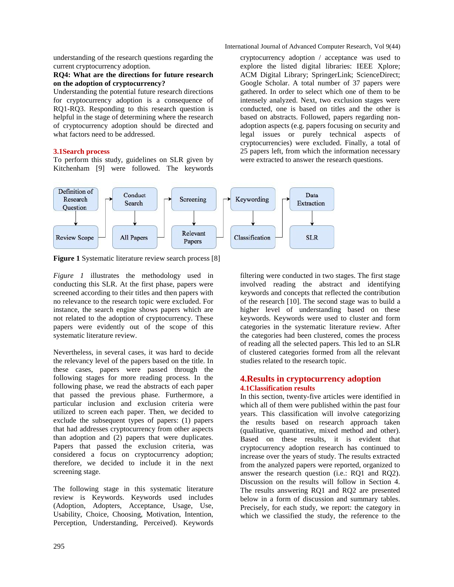International Journal of Advanced Computer Research, Vol 9(44)

understanding of the research questions regarding the current cryptocurrency adoption.

#### **RQ4: What are the directions for future research on the adoption of cryptocurrency?**

Understanding the potential future research directions for cryptocurrency adoption is a consequence of RQ1-RQ3. Responding to this research question is helpful in the stage of determining where the research of cryptocurrency adoption should be directed and what factors need to be addressed.

#### **3.1Search process**

To perform this study, guidelines on SLR given by Kitchenham [9] were followed. The keywords

cryptocurrency adoption / acceptance was used to explore the listed digital libraries: IEEE Xplore; ACM Digital Library; SpringerLink; ScienceDirect; Google Scholar. A total number of 37 papers were gathered. In order to select which one of them to be intensely analyzed. Next, two exclusion stages were conducted, one is based on titles and the other is based on abstracts. Followed, papers regarding nonadoption aspects (e.g. papers focusing on security and legal issues or purely technical aspects of cryptocurrencies) were excluded. Finally, a total of 25 papers left, from which the information necessary were extracted to answer the research questions.



**Figure 1** Systematic literature review search process [8]

*Figure 1* illustrates the methodology used in conducting this SLR. At the first phase, papers were screened according to their titles and then papers with no relevance to the research topic were excluded. For instance, the search engine shows papers which are not related to the adoption of cryptocurrency. These papers were evidently out of the scope of this systematic literature review.

Nevertheless, in several cases, it was hard to decide the relevancy level of the papers based on the title. In these cases, papers were passed through the following stages for more reading process. In the following phase, we read the abstracts of each paper that passed the previous phase. Furthermore, a particular inclusion and exclusion criteria were utilized to screen each paper. Then, we decided to exclude the subsequent types of papers: (1) papers that had addresses cryptocurrency from other aspects than adoption and (2) papers that were duplicates. Papers that passed the exclusion criteria, was considered a focus on cryptocurrency adoption; therefore, we decided to include it in the next screening stage.

The following stage in this systematic literature review is Keywords. Keywords used includes (Adoption, Adopters, Acceptance, Usage, Use, Usability, Choice, Choosing, Motivation, Intention, Perception, Understanding, Perceived). Keywords

filtering were conducted in two stages. The first stage involved reading the abstract and identifying keywords and concepts that reflected the contribution of the research [10]. The second stage was to build a higher level of understanding based on these keywords. Keywords were used to cluster and form categories in the systematic literature review. After the categories had been clustered, comes the process of reading all the selected papers. This led to an SLR of clustered categories formed from all the relevant studies related to the research topic.

### **4.Results in cryptocurrency adoption 4.1Classification results**

In this section, twenty-five articles were identified in which all of them were published within the past four years. This classification will involve categorizing the results based on research approach taken (qualitative, quantitative, mixed method and other). Based on these results, it is evident that cryptocurrency adoption research has continued to increase over the years of study. The results extracted from the analyzed papers were reported, organized to answer the research question (i.e.: RQ1 and RQ2). Discussion on the results will follow in Section 4. The results answering RQ1 and RQ2 are presented below in a form of discussion and summary tables. Precisely, for each study, we report: the category in which we classified the study, the reference to the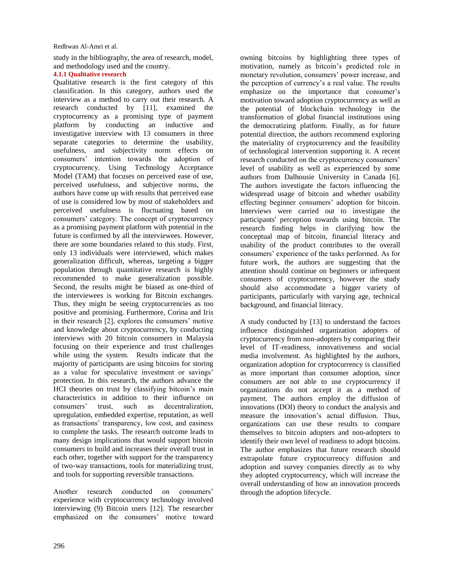study in the bibliography, the area of research, model, and methodology used and the country.

### **4.1.1 Qualitative research**

Qualitative research is the first category of this classification. In this category, authors used the interview as a method to carry out their research. A research conducted by [11], examined the cryptocurrency as a promising type of payment platform by conducting an inductive and investigative interview with 13 consumers in three separate categories to determine the usability, usefulness, and subjectivity norm effects on consumers' intention towards the adoption of cryptocurrency. Using Technology Acceptance Model (TAM) that focuses on perceived ease of use, perceived usefulness, and subjective norms, the authors have come up with results that perceived ease of use is considered low by most of stakeholders and perceived usefulness is fluctuating based on consumers' category. The concept of cryptocurrency as a promising payment platform with potential in the future is confirmed by all the interviewees. However, there are some boundaries related to this study. First, only 13 individuals were interviewed, which makes generalization difficult, whereas, targeting a bigger population through quantitative research is highly recommended to make generalization possible. Second, the results might be biased as one-third of the interviewees is working for Bitcoin exchanges. Thus, they might be seeing cryptocurrencies as too positive and promising. Furthermore, Corina and Iris in their research [2], explores the consumers' motive and knowledge about cryptocurrency, by conducting interviews with 20 bitcoin consumers in Malaysia focusing on their experience and trust challenges while using the system. Results indicate that the majority of participants are using bitcoins for storing as a value for speculative investment or savings' protection. In this research, the authors advance the HCI theories on trust by classifying bitcoin's main characteristics in addition to their influence on consumers' trust, such as decentralization, upregulation, embedded expertise, reputation, as well as transactions' transparency, low cost, and easiness to complete the tasks. The research outcome leads to many design implications that would support bitcoin consumers to build and increases their overall trust in each other, together with support for the transparency of two-way transactions, tools for materializing trust, and tools for supporting reversible transactions.

Another research conducted on consumers' experience with cryptocurrency technology involved interviewing (9) Bitcoin users [12]. The researcher emphasized on the consumers' motive toward

owning bitcoins by highlighting three types of motivation, namely as bitcoin's predicted role in monetary revolution, consumers' power increase, and the perception of currency's a real value. The results emphasize on the importance that consumer's motivation toward adoption cryptocurrency as well as the potential of blockchain technology in the transformation of global financial institutions using the democratizing platform. Finally, as for future potential direction, the authors recommend exploring the materiality of cryptocurrency and the feasibility of technological intervention supporting it. A recent research conducted on the cryptocurrency consumers' level of usability as well as experienced by some authors from Dalhousie University in Canada [6]. The authors investigate the factors influencing the widespread usage of bitcoin and whether usability effecting beginner consumers' adoption for bitcoin. Interviews were carried out to investigate the participants' perception towards using bitcoin. The research finding helps in clarifying how the conceptual map of bitcoin, financial literacy and usability of the product contributes to the overall consumers' experience of the tasks performed. As for future work, the authors are suggesting that the attention should continue on beginners or infrequent consumers of cryptocurrency, however the study should also accommodate a bigger variety of participants, particularly with varying age, technical background, and financial literacy.

A study conducted by [13] to understand the factors influence distinguished organization adopters of cryptocurrency from non-adopters by comparing their level of IT-readiness, innovativeness and social media involvement. As highlighted by the authors, organization adoption for cryptocurrency is classified as more important than consumer adoption, since consumers are not able to use cryptocurrency if organizations do not accept it as a method of payment. The authors employ the diffusion of innovations (DOI) theory to conduct the analysis and measure the innovation's actual diffusion. Thus, organizations can use these results to compare themselves to bitcoin adopters and non-adopters to identify their own level of readiness to adopt bitcoins. The author emphasizes that future research should extrapolate future cryptocurrency diffusion and adoption and survey companies directly as to why they adopted cryptocurrency, which will increase the overall understanding of how an innovation proceeds through the adoption lifecycle.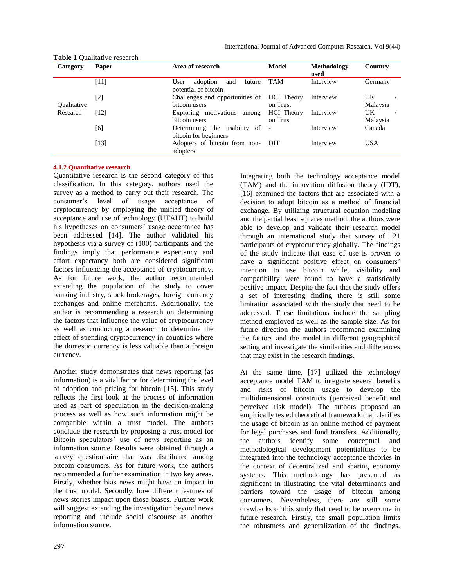| Category           | Paper  | Area of research                                          | Model                         | <b>Methodology</b><br>used | Country         |
|--------------------|--------|-----------------------------------------------------------|-------------------------------|----------------------------|-----------------|
|                    | [11]   | User<br>adoption<br>future<br>and<br>potential of bitcoin | TAM                           | Interview                  | Germany         |
| <b>Oualitative</b> | [2]    | Challenges and opportunities of<br>bitcoin users          | <b>HCI</b> Theory<br>on Trust | Interview                  | UK<br>Malaysia  |
| Research           | [12]   | Exploring motivations among<br>bitcoin users              | <b>HCI</b> Theory<br>on Trust | Interview                  | UK.<br>Malaysia |
|                    | [6]    | Determining the usability of<br>bitcoin for beginners     | $\overline{\phantom{a}}$      | Interview                  | Canada          |
|                    | $[13]$ | Adopters of bitcoin from non-<br>adopters                 | <b>DIT</b>                    | Interview                  | <b>USA</b>      |

#### **Table 1** Qualitative research

#### **4.1.2 Quantitative research**

Quantitative research is the second category of this classification. In this category, authors used the survey as a method to carry out their research. The consumer's level of usage acceptance of cryptocurrency by employing the unified theory of acceptance and use of technology (UTAUT) to build his hypotheses on consumers' usage acceptance has been addressed [14]. The author validated his hypothesis via a survey of (100) participants and the findings imply that performance expectancy and effort expectancy both are considered significant factors influencing the acceptance of cryptocurrency. As for future work, the author recommended extending the population of the study to cover banking industry, stock brokerages, foreign currency exchanges and online merchants. Additionally, the author is recommending a research on determining the factors that influence the value of cryptocurrency as well as conducting a research to determine the effect of spending cryptocurrency in countries where the domestic currency is less valuable than a foreign currency.

Another study demonstrates that news reporting (as information) is a vital factor for determining the level of adoption and pricing for bitcoin [15]. This study reflects the first look at the process of information used as part of speculation in the decision-making process as well as how such information might be compatible within a trust model. The authors conclude the research by proposing a trust model for Bitcoin speculators' use of news reporting as an information source. Results were obtained through a survey questionnaire that was distributed among bitcoin consumers. As for future work, the authors recommended a further examination in two key areas. Firstly, whether bias news might have an impact in the trust model. Secondly, how different features of news stories impact upon those biases. Further work will suggest extending the investigation beyond news reporting and include social discourse as another information source.

Integrating both the technology acceptance model (TAM) and the innovation diffusion theory (IDT), [16] examined the factors that are associated with a decision to adopt bitcoin as a method of financial exchange. By utilizing structural equation modeling and the partial least squares method, the authors were able to develop and validate their research model through an international study that survey of 121 participants of cryptocurrency globally. The findings of the study indicate that ease of use is proven to have a significant positive effect on consumers' intention to use bitcoin while, visibility and compatibility were found to have a statistically positive impact. Despite the fact that the study offers a set of interesting finding there is still some limitation associated with the study that need to be addressed. These limitations include the sampling method employed as well as the sample size. As for future direction the authors recommend examining the factors and the model in different geographical setting and investigate the similarities and differences that may exist in the research findings.

At the same time, [17] utilized the technology acceptance model TAM to integrate several benefits and risks of bitcoin usage to develop the multidimensional constructs (perceived benefit and perceived risk model). The authors proposed an empirically tested theoretical framework that clarifies the usage of bitcoin as an online method of payment for legal purchases and fund transfers. Additionally, the authors identify some conceptual and methodological development potentialities to be integrated into the technology acceptance theories in the context of decentralized and sharing economy systems. This methodology has presented as significant in illustrating the vital determinants and barriers toward the usage of bitcoin among consumers. Nevertheless, there are still some drawbacks of this study that need to be overcome in future research. Firstly, the small population limits the robustness and generalization of the findings.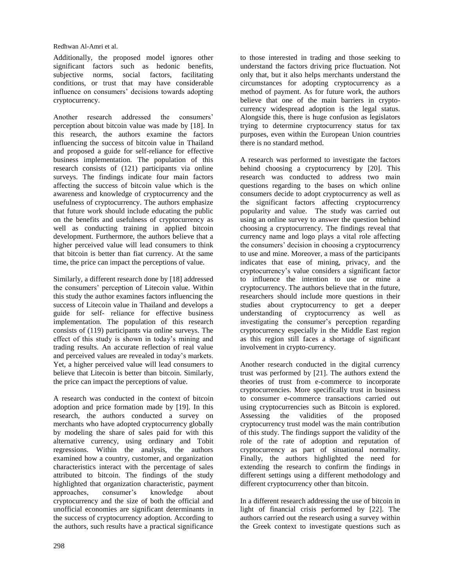Additionally, the proposed model ignores other significant factors such as hedonic benefits, subjective norms, social factors, facilitating conditions, or trust that may have considerable influence on consumers' decisions towards adopting cryptocurrency.

Another research addressed the consumers' perception about bitcoin value was made by [18]. In this research, the authors examine the factors influencing the success of bitcoin value in Thailand and proposed a guide for self-reliance for effective business implementation. The population of this research consists of (121) participants via online surveys. The findings indicate four main factors affecting the success of bitcoin value which is the awareness and knowledge of cryptocurrency and the usefulness of cryptocurrency. The authors emphasize that future work should include educating the public on the benefits and usefulness of cryptocurrency as well as conducting training in applied bitcoin development. Furthermore, the authors believe that a higher perceived value will lead consumers to think that bitcoin is better than fiat currency. At the same time, the price can impact the perceptions of value.

Similarly, a different research done by [18] addressed the consumers' perception of Litecoin value. Within this study the author examines factors influencing the success of Litecoin value in Thailand and develops a guide for self- reliance for effective business implementation. The population of this research consists of (119) participants via online surveys. The effect of this study is shown in today's mining and trading results. An accurate reflection of real value and perceived values are revealed in today's markets. Yet, a higher perceived value will lead consumers to believe that Litecoin is better than bitcoin. Similarly, the price can impact the perceptions of value.

A research was conducted in the context of bitcoin adoption and price formation made by [19]. In this research, the authors conducted a survey on merchants who have adopted cryptocurrency globally by modeling the share of sales paid for with this alternative currency, using ordinary and Tobit regressions. Within the analysis, the authors examined how a country, customer, and organization characteristics interact with the percentage of sales attributed to bitcoin. The findings of the study highlighted that organization characteristic, payment approaches, consumer's knowledge about cryptocurrency and the size of both the official and unofficial economies are significant determinants in the success of cryptocurrency adoption. According to the authors, such results have a practical significance

to those interested in trading and those seeking to understand the factors driving price fluctuation. Not only that, but it also helps merchants understand the circumstances for adopting cryptocurrency as a method of payment. As for future work, the authors believe that one of the main barriers in cryptocurrency widespread adoption is the legal status. Alongside this, there is huge confusion as legislators trying to determine cryptocurrency status for tax purposes, even within the European Union countries there is no standard method.

A research was performed to investigate the factors behind choosing a cryptocurrency by [20]. This research was conducted to address two main questions regarding to the bases on which online consumers decide to adopt cryptocurrency as well as the significant factors affecting cryptocurrency popularity and value. The study was carried out using an online survey to answer the question behind choosing a cryptocurrency. The findings reveal that currency name and logo plays a vital role affecting the consumers' decision in choosing a cryptocurrency to use and mine. Moreover, a mass of the participants indicates that ease of mining, privacy, and the cryptocurrency's value considers a significant factor to influence the intention to use or mine a cryptocurrency. The authors believe that in the future, researchers should include more questions in their studies about cryptocurrency to get a deeper understanding of cryptocurrency as well as investigating the consumer's perception regarding cryptocurrency especially in the Middle East region as this region still faces a shortage of significant involvement in crypto-currency.

Another research conducted in the digital currency trust was performed by [21]. The authors extend the theories of trust from e-commerce to incorporate cryptocurrencies. More specifically trust in business to consumer e-commerce transactions carried out using cryptocurrencies such as Bitcoin is explored. Assessing the validities of the proposed cryptocurrency trust model was the main contribution of this study. The findings support the validity of the role of the rate of adoption and reputation of cryptocurrency as part of situational normality. Finally, the authors highlighted the need for extending the research to confirm the findings in different settings using a different methodology and different cryptocurrency other than bitcoin.

In a different research addressing the use of bitcoin in light of financial crisis performed by [22]. The authors carried out the research using a survey within the Greek context to investigate questions such as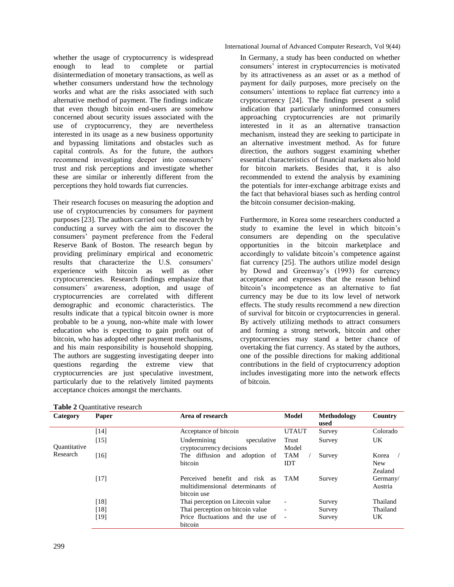whether the usage of cryptocurrency is widespread enough to lead to complete or partial disintermediation of monetary transactions, as well as whether consumers understand how the technology works and what are the risks associated with such alternative method of payment. The findings indicate that even though bitcoin end-users are somehow concerned about security issues associated with the use of cryptocurrency, they are nevertheless interested in its usage as a new business opportunity and bypassing limitations and obstacles such as capital controls. As for the future, the authors recommend investigating deeper into consumers' trust and risk perceptions and investigate whether these are similar or inherently different from the perceptions they hold towards fiat currencies.

Their research focuses on measuring the adoption and use of cryptocurrencies by consumers for payment purposes [23]. The authors carried out the research by conducting a survey with the aim to discover the consumers' payment preference from the Federal Reserve Bank of Boston. The research begun by providing preliminary empirical and econometric results that characterize the U.S. consumers' experience with bitcoin as well as other cryptocurrencies. Research findings emphasize that consumers' awareness, adoption, and usage of cryptocurrencies are correlated with different demographic and economic characteristics. The results indicate that a typical bitcoin owner is more probable to be a young, non-white male with lower education who is expecting to gain profit out of bitcoin, who has adopted other payment mechanisms, and his main responsibility is household shopping. The authors are suggesting investigating deeper into questions regarding the extreme view that cryptocurrencies are just speculative investment, particularly due to the relatively limited payments acceptance choices amongst the merchants.

International Journal of Advanced Computer Research, Vol 9(44)

In Germany, a study has been conducted on whether consumers' interest in cryptocurrencies is motivated by its attractiveness as an asset or as a method of payment for daily purposes, more precisely on the consumers' intentions to replace fiat currency into a cryptocurrency [24]. The findings present a solid indication that particularly uninformed consumers approaching cryptocurrencies are not primarily interested in it as an alternative transaction mechanism, instead they are seeking to participate in an alternative investment method. As for future direction, the authors suggest examining whether essential characteristics of financial markets also hold for bitcoin markets. Besides that, it is also recommended to extend the analysis by examining the potentials for inter-exchange arbitrage exists and the fact that behavioral biases such as herding control the bitcoin consumer decision-making.

Furthermore, in Korea some researchers conducted a study to examine the level in which bitcoin's consumers are depending on the speculative opportunities in the bitcoin marketplace and accordingly to validate bitcoin's competence against fiat currency [25]. The authors utilize model design by Dowd and Greenway's (1993) for currency acceptance and expresses that the reason behind bitcoin's incompetence as an alternative to fiat currency may be due to its low level of network effects. The study results recommend a new direction of survival for bitcoin or cryptocurrencies in general. By actively utilizing methods to attract consumers and forming a strong network, bitcoin and other cryptocurrencies may stand a better chance of overtaking the fiat currency. As stated by the authors, one of the possible directions for making additional contributions in the field of cryptocurrency adoption includes investigating more into the network effects of bitcoin.

| Category                 | Paper  | Area of research                                                                    | Model                    | Methodology<br>used | Country                        |
|--------------------------|--------|-------------------------------------------------------------------------------------|--------------------------|---------------------|--------------------------------|
| Quantitative<br>Research | [14]   | Acceptance of bitcoin                                                               | <b>UTAUT</b>             | Survey              | Colorado                       |
|                          | $[15]$ | Undermining<br>speculative<br>cryptocurrency decisions                              | Trust<br>Model           | Survey              | UK.                            |
|                          | [16]   | The diffusion and adoption of<br>bitcoin                                            | <b>TAM</b><br><b>IDT</b> | Survey              | Korea<br><b>New</b><br>Zealand |
|                          | $[17]$ | benefit and risk as<br>Perceived<br>multidimensional determinants of<br>bitcoin use | <b>TAM</b>               | Survey              | Germany/<br>Austria            |
|                          | [18]   | Thai perception on Litecoin value                                                   | $\overline{\phantom{a}}$ | Survey              | Thailand                       |
|                          | [18]   | Thai perception on bitcoin value                                                    |                          | Survey              | Thailand                       |
|                          | [19]   | Price fluctuations and the use of<br>bitcoin                                        | $\overline{\phantom{a}}$ | Survey              | UK.                            |

|  |  | Table 2 Quantitative research |  |
|--|--|-------------------------------|--|
|--|--|-------------------------------|--|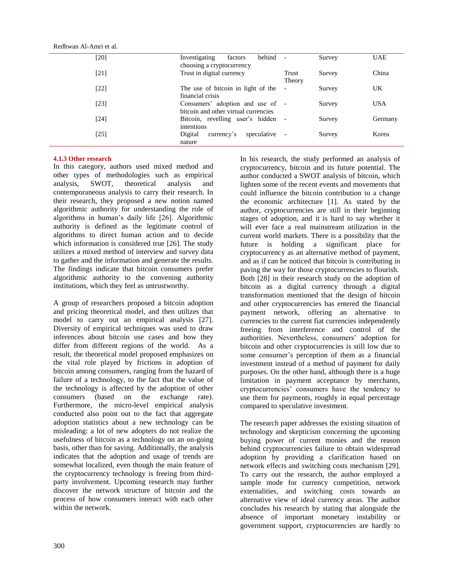| [20] | behind<br>Investigating<br>factors   |                          | Survey | <b>UAE</b> |
|------|--------------------------------------|--------------------------|--------|------------|
|      | choosing a cryptocurrency            |                          |        |            |
| [21] | Trust in digital currency            | Trust                    | Survey | China      |
|      |                                      | Theory                   |        |            |
| [22] | The use of bitcoin in light of the   | $\overline{\phantom{a}}$ | Survey | UK         |
|      | financial crisis                     |                          |        |            |
| [23] | Consumers' adoption and use of -     |                          | Survey | <b>USA</b> |
|      | bitcoin and other virtual currencies |                          |        |            |
| [24] | Bitcoin, revelling user's hidden -   |                          | Survey | Germany    |
|      | intentions                           |                          |        |            |
| [25] | Digital<br>speculative<br>currency's |                          | Survey | Korea      |
|      | nature                               |                          |        |            |
|      |                                      |                          |        |            |

#### **4.1.3 Other research**

Redhwan Al-Amri et al.

In this category, authors used mixed method and other types of methodologies such as empirical analysis, SWOT, theoretical analysis and contemporaneous analysis to carry their research. In their research, they proposed a new notion named algorithmic authority for understanding the role of algorithms in human's daily life [26]. Algorithmic authority is defined as the legitimate control of algorithms to direct human action and to decide which information is considered true [26]. The study utilizes a mixed method of interview and survey data to gather and the information and generate the results. The findings indicate that bitcoin consumers prefer algorithmic authority to the convening authority institutions, which they feel as untrustworthy.

A group of researchers proposed a bitcoin adoption and pricing theoretical model, and then utilizes that model to carry out an empirical analysis [27]. Diversity of empirical techniques was used to draw inferences about bitcoin use cases and how they differ from different regions of the world. As a result, the theoretical model proposed emphasizes on the vital role played by frictions in adoption of bitcoin among consumers, ranging from the hazard of failure of a technology, to the fact that the value of the technology is affected by the adoption of other consumers (based on the exchange rate). Furthermore, the micro-level empirical analysis conducted also point out to the fact that aggregate adoption statistics about a new technology can be misleading: a lot of new adopters do not realize the usefulness of bitcoin as a technology on an on-going basis, other than for saving. Additionally, the analysis indicates that the adoption and usage of trends are somewhat localized, even though the main feature of the cryptocurrency technology is freeing from thirdparty involvement. Upcoming research may further discover the network structure of bitcoin and the process of how consumers interact with each other within the network.

In his research, the study performed an analysis of cryptocurrency, bitcoin and its future potential. The author conducted a SWOT analysis of bitcoin, which lighten some of the recent events and movements that could influence the bitcoin contribution to a change the economic architecture [1]. As stated by the author, cryptocurrencies are still in their beginning stages of adoption, and it is hard to say whether it will ever face a real mainstream utilization in the current world markets. There is a possibility that the future is holding a significant place for cryptocurrency as an alternative method of payment, and as if can be noticed that bitcoin is contributing in paving the way for those cryptocurrencies to flourish. Both [28] in their research study on the adoption of bitcoin as a digital currency through a digital transformation mentioned that the design of bitcoin and other cryptocurrencies has entered the financial payment network, offering an alternative to currencies to the current fiat currencies independently freeing from interference and control of the authorities. Nevertheless, consumers' adoption for bitcoin and other cryptocurrencies is still low due to some consumer's perception of them as a financial investment instead of a method of payment for daily purposes. On the other hand, although there is a huge limitation in payment acceptance by merchants, cryptocurrencies' consumers have the tendency to use them for payments, roughly in equal percentage compared to speculative investment.

The research paper addresses the existing situation of technology and skepticism concerning the upcoming buying power of current monies and the reason behind cryptocurrencies failure to obtain widespread adoption by providing a clarification based on network effects and switching costs mechanism [29]. To carry out the research, the author employed a sample mode for currency competition, network externalities, and switching costs towards an alternative view of ideal currency areas. The author concludes his research by stating that alongside the absence of important monetary instability or government support, cryptocurrencies are hardly to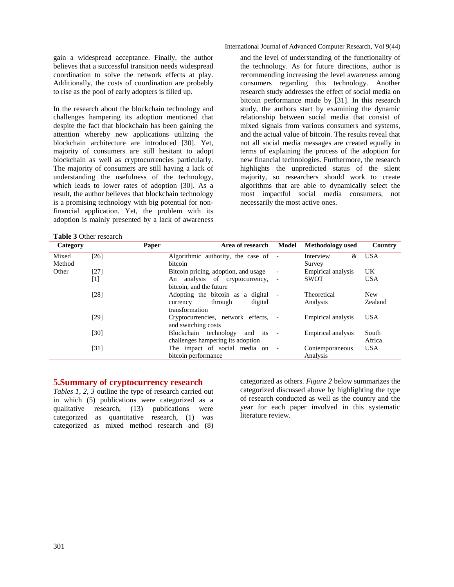gain a widespread acceptance. Finally, the author believes that a successful transition needs widespread coordination to solve the network effects at play. Additionally, the costs of coordination are probably to rise as the pool of early adopters is filled up.

In the research about the blockchain technology and challenges hampering its adoption mentioned that despite the fact that blockchain has been gaining the attention whereby new applications utilizing the blockchain architecture are introduced [30]. Yet, majority of consumers are still hesitant to adopt blockchain as well as cryptocurrencies particularly. The majority of consumers are still having a lack of understanding the usefulness of the technology, which leads to lower rates of adoption [30]. As a result, the author believes that blockchain technology is a promising technology with big potential for nonfinancial application. Yet, the problem with its adoption is mainly presented by a lack of awareness

**Table 3** Other research

International Journal of Advanced Computer Research, Vol 9(44)

and the level of understanding of the functionality of the technology. As for future directions, author is recommending increasing the level awareness among consumers regarding this technology. Another research study addresses the effect of social media on bitcoin performance made by [31]. In this research study, the authors start by examining the dynamic relationship between social media that consist of mixed signals from various consumers and systems, and the actual value of bitcoin. The results reveal that not all social media messages are created equally in terms of explaining the process of the adoption for new financial technologies. Furthermore, the research highlights the unpredicted status of the silent majority, so researchers should work to create algorithms that are able to dynamically select the most impactful social media consumers, not necessarily the most active ones.

| Category | Paper | Area of research                        | Model                    | Methodology used   | Country    |
|----------|-------|-----------------------------------------|--------------------------|--------------------|------------|
| Mixed    | [26]  | Algorithmic authority, the case of -    |                          | Interview<br>&     | <b>USA</b> |
| Method   |       | bitcoin                                 |                          | Survey             |            |
| Other    | [27]  | Bitcoin pricing, adoption, and usage    | $\overline{\phantom{a}}$ | Empirical analysis | UK         |
|          | [1]   | An analysis of cryptocurrency,          |                          | <b>SWOT</b>        | <b>USA</b> |
|          |       | bitcoin, and the future                 |                          |                    |            |
|          | [28]  | Adopting the bitcoin as a digital       | $\overline{\phantom{a}}$ | Theoretical        | <b>New</b> |
|          |       | digital<br>through<br>currency          |                          | Analysis           | Zealand    |
|          |       | transformation                          |                          |                    |            |
|          | [29]  | Cryptocurrencies, network effects, -    |                          | Empirical analysis | <b>USA</b> |
|          |       | and switching costs                     |                          |                    |            |
|          | [30]  | Blockchain<br>technology<br>and its $-$ |                          | Empirical analysis | South      |
|          |       | challenges hampering its adoption       |                          |                    | Africa     |
|          | [31]  | The impact of social media on           | $\overline{\phantom{a}}$ | Contemporaneous    | <b>USA</b> |
|          |       | bitcoin performance                     |                          | Analysis           |            |

### **5.Summary of cryptocurrency research**

*Tables 1, 2, 3* outline the type of research carried out in which (5) publications were categorized as a qualitative research, (13) publications were categorized as quantitative research, (1) was categorized as mixed method research and (8)

categorized as others. *Figure 2* below summarizes the categorized discussed above by highlighting the type of research conducted as well as the country and the year for each paper involved in this systematic literature review.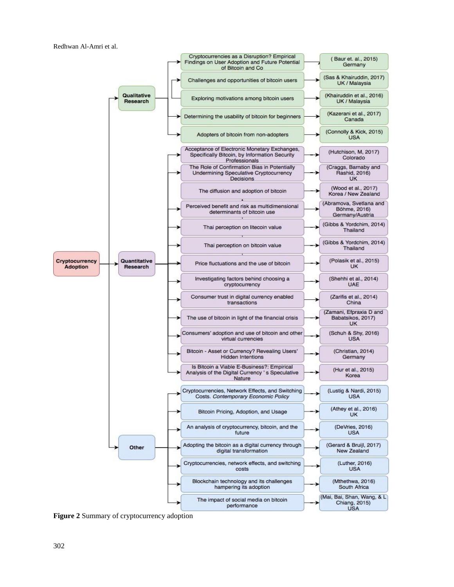Redhwan Al-Amri et al.



**Figure 2** Summary of cryptocurrency adoption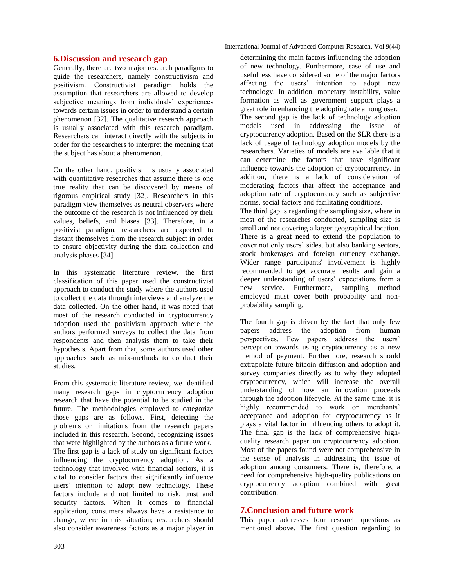### **6.Discussion and research gap**

Generally, there are two major research paradigms to guide the researchers, namely constructivism and positivism. Constructivist paradigm holds the assumption that researchers are allowed to develop subjective meanings from individuals' experiences towards certain issues in order to understand a certain phenomenon [32]. The qualitative research approach is usually associated with this research paradigm. Researchers can interact directly with the subjects in order for the researchers to interpret the meaning that the subject has about a phenomenon.

On the other hand, positivism is usually associated with quantitative researches that assume there is one true reality that can be discovered by means of rigorous empirical study [32]. Researchers in this paradigm view themselves as neutral observers where the outcome of the research is not influenced by their values, beliefs, and biases [33]. Therefore, in a positivist paradigm, researchers are expected to distant themselves from the research subject in order to ensure objectivity during the data collection and analysis phases [34].

In this systematic literature review, the first classification of this paper used the constructivist approach to conduct the study where the authors used to collect the data through interviews and analyze the data collected. On the other hand, it was noted that most of the research conducted in cryptocurrency adoption used the positivism approach where the authors performed surveys to collect the data from respondents and then analysis them to take their hypothesis. Apart from that, some authors used other approaches such as mix-methods to conduct their studies.

From this systematic literature review, we identified many research gaps in cryptocurrency adoption research that have the potential to be studied in the future. The methodologies employed to categorize those gaps are as follows. First, detecting the problems or limitations from the research papers included in this research. Second, recognizing issues that were highlighted by the authors as a future work. The first gap is a lack of study on significant factors influencing the cryptocurrency adoption. As a technology that involved with financial sectors, it is vital to consider factors that significantly influence users' intention to adopt new technology. These factors include and not limited to risk, trust and security factors. When it comes to financial application, consumers always have a resistance to change, where in this situation; researchers should also consider awareness factors as a major player in

determining the main factors influencing the adoption of new technology. Furthermore, ease of use and usefulness have considered some of the major factors affecting the users' intention to adopt new technology. In addition, monetary instability, value formation as well as government support plays a great role in enhancing the adopting rate among user. The second gap is the lack of technology adoption models used in addressing the issue of cryptocurrency adoption. Based on the SLR there is a lack of usage of technology adoption models by the researchers. Varieties of models are available that it can determine the factors that have significant influence towards the adoption of cryptocurrency. In addition, there is a lack of consideration of moderating factors that affect the acceptance and adoption rate of cryptocurrency such as subjective norms, social factors and facilitating conditions.

The third gap is regarding the sampling size, where in most of the researches conducted, sampling size is small and not covering a larger geographical location. There is a great need to extend the population to cover not only users' sides, but also banking sectors, stock brokerages and foreign currency exchange. Wider range participants' involvement is highly recommended to get accurate results and gain a deeper understanding of users' expectations from a new service. Furthermore, sampling method employed must cover both probability and nonprobability sampling.

The fourth gap is driven by the fact that only few papers address the adoption from human papers address the adoption from human perspectives. Few papers address the users' perception towards using cryptocurrency as a new method of payment. Furthermore, research should extrapolate future bitcoin diffusion and adoption and survey companies directly as to why they adopted cryptocurrency, which will increase the overall understanding of how an innovation proceeds through the adoption lifecycle. At the same time, it is highly recommended to work on merchants' acceptance and adoption for cryptocurrency as it plays a vital factor in influencing others to adopt it. The final gap is the lack of comprehensive highquality research paper on cryptocurrency adoption. Most of the papers found were not comprehensive in the sense of analysis in addressing the issue of adoption among consumers. There is, therefore, a need for comprehensive high-quality publications on cryptocurrency adoption combined with great contribution.

# **7.Conclusion and future work**

This paper addresses four research questions as mentioned above. The first question regarding to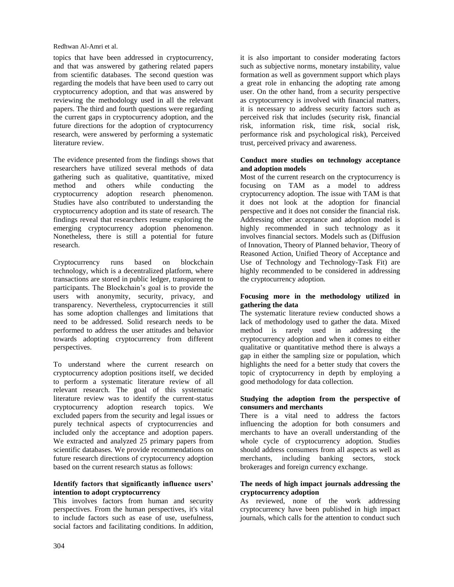topics that have been addressed in cryptocurrency, and that was answered by gathering related papers from scientific databases. The second question was regarding the models that have been used to carry out cryptocurrency adoption, and that was answered by reviewing the methodology used in all the relevant papers. The third and fourth questions were regarding the current gaps in cryptocurrency adoption, and the future directions for the adoption of cryptocurrency research, were answered by performing a systematic literature review.

The evidence presented from the findings shows that researchers have utilized several methods of data gathering such as qualitative, quantitative, mixed method and others while conducting the cryptocurrency adoption research phenomenon. Studies have also contributed to understanding the cryptocurrency adoption and its state of research. The findings reveal that researchers resume exploring the emerging cryptocurrency adoption phenomenon. Nonetheless, there is still a potential for future research.

Cryptocurrency runs based on blockchain technology, which is a decentralized platform, where transactions are stored in public ledger, transparent to participants. The Blockchain's goal is to provide the users with anonymity, security, privacy, and transparency. Nevertheless, cryptocurrencies it still has some adoption challenges and limitations that need to be addressed. Solid research needs to be performed to address the user attitudes and behavior towards adopting cryptocurrency from different perspectives.

To understand where the current research on cryptocurrency adoption positions itself, we decided to perform a systematic literature review of all relevant research. The goal of this systematic literature review was to identify the current-status cryptocurrency adoption research topics. We excluded papers from the security and legal issues or purely technical aspects of cryptocurrencies and included only the acceptance and adoption papers. We extracted and analyzed 25 primary papers from scientific databases. We provide recommendations on future research directions of cryptocurrency adoption based on the current research status as follows:

#### **Identify factors that significantly influence users' intention to adopt cryptocurrency**

This involves factors from human and security perspectives. From the human perspectives, it's vital to include factors such as ease of use, usefulness, social factors and facilitating conditions. In addition,

it is also important to consider moderating factors such as subjective norms, monetary instability, value formation as well as government support which plays a great role in enhancing the adopting rate among user. On the other hand, from a security perspective as cryptocurrency is involved with financial matters, it is necessary to address security factors such as perceived risk that includes (security risk, financial risk, information risk, time risk, social risk, performance risk and psychological risk), Perceived trust, perceived privacy and awareness.

#### **Conduct more studies on technology acceptance and adoption models**

Most of the current research on the cryptocurrency is focusing on TAM as a model to address cryptocurrency adoption. The issue with TAM is that it does not look at the adoption for financial perspective and it does not consider the financial risk. Addressing other acceptance and adoption model is highly recommended in such technology as it involves financial sectors. Models such as (Diffusion of Innovation, Theory of Planned behavior, Theory of Reasoned Action, Unified Theory of Acceptance and Use of Technology and Technology-Task Fit) are highly recommended to be considered in addressing the cryptocurrency adoption.

#### **Focusing more in the methodology utilized in gathering the data**

The systematic literature review conducted shows a lack of methodology used to gather the data. Mixed method is rarely used in addressing the cryptocurrency adoption and when it comes to either qualitative or quantitative method there is always a gap in either the sampling size or population, which highlights the need for a better study that covers the topic of cryptocurrency in depth by employing a good methodology for data collection.

#### **Studying the adoption from the perspective of consumers and merchants**

There is a vital need to address the factors influencing the adoption for both consumers and merchants to have an overall understanding of the whole cycle of cryptocurrency adoption. Studies should address consumers from all aspects as well as merchants, including banking sectors, stock brokerages and foreign currency exchange.

#### **The needs of high impact journals addressing the cryptocurrency adoption**

As reviewed, none of the work addressing cryptocurrency have been published in high impact journals, which calls for the attention to conduct such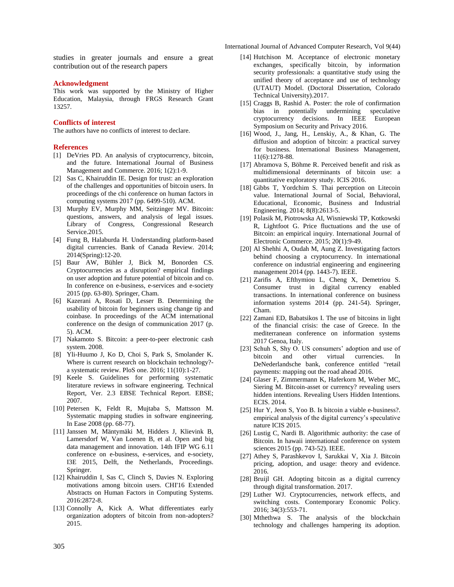International Journal of Advanced Computer Research, Vol 9(44)

studies in greater journals and ensure a great contribution out of the research papers

#### **Acknowledgment**

This work was supported by the Ministry of Higher Education, Malaysia, through FRGS Research Grant 13257.

#### **Conflicts of interest**

The authors have no conflicts of interest to declare.

#### **References**

- [1] DeVries PD. An analysis of cryptocurrency, bitcoin, and the future. International Journal of Business Management and Commerce. 2016; 1(2):1-9.
- [2] Sas C, Khairuddin IE. Design for trust: an exploration of the challenges and opportunities of bitcoin users. In proceedings of the chi conference on human factors in computing systems 2017 (pp. 6499-510). ACM.
- [3] Murphy EV, Murphy MM, Seitzinger MV. Bitcoin: questions, answers, and analysis of legal issues. Library of Congress, Congressional Research Service.2015.
- [4] Fung B, Halaburda H. Understanding platform-based digital currencies. Bank of Canada Review. 2014; 2014(Spring):12-20.
- [5] Baur AW, Bühler J, Bick M, Bonorden CS. Cryptocurrencies as a disruption? empirical findings on user adoption and future potential of bitcoin and co. In conference on e-business, e-services and e-society 2015 (pp. 63-80). Springer, Cham.
- [6] Kazerani A, Rosati D, Lesser B. Determining the usability of bitcoin for beginners using change tip and coinbase. In proceedings of the ACM international conference on the design of communication 2017 (p. 5). ACM.
- [7] Nakamoto S. Bitcoin: a peer-to-peer electronic cash system. 2008.
- [8] Yli-Huumo J, Ko D, Choi S, Park S, Smolander K. Where is current research on blockchain technology? a systematic review. PloS one. 2016; 11(10):1-27.
- [9] Keele S. Guidelines for performing systematic literature reviews in software engineering. Technical Report, Ver. 2.3 EBSE Technical Report. EBSE; 2007.
- [10] Petersen K, Feldt R, Mujtaba S, Mattsson M. Systematic mapping studies in software engineering. In Ease 2008 (pp. 68-77).
- [11] Janssen M, Mäntymäki M, Hidders J, Klievink B, Lamersdorf W, Van Loenen B, et al. Open and big data management and innovation. 14th IFIP WG 6.11 conference on e-business, e-services, and e-society, I3E 2015, Delft, the Netherlands, Proceedings. Springer.
- [12] Khairuddin I, Sas C, Clinch S, Davies N. Exploring motivations among bitcoin users. CHI'16 Extended Abstracts on Human Factors in Computing Systems. 2016:2872-8.
- [13] Connolly A, Kick A. What differentiates early organization adopters of bitcoin from non-adopters? 2015.
- [14] Hutchison M. Acceptance of electronic monetary exchanges, specifically bitcoin, by information security professionals: a quantitative study using the unified theory of acceptance and use of technology (UTAUT) Model. (Doctoral Dissertation, Colorado Technical University).2017.
- [15] Craggs B, Rashid A. Poster: the role of confirmation bias in potentially undermining speculative cryptocurrency decisions. In IEEE European Symposium on Security and Privacy 2016.
- [16] Wood, J., Jang, H., Lenskiy, A., & Khan, G. The diffusion and adoption of bitcoin: a practical survey for business. International Business Management, 11(6):1278-88.
- [17] Abramova S, Böhme R. Perceived benefit and risk as multidimensional determinants of bitcoin use: a quantitative exploratory study. ICIS 2016.
- [18] Gibbs T, Yordchim S. Thai perception on Litecoin value. International Journal of Social, Behavioral, Educational, Economic, Business and Industrial Engineering. 2014; 8(8):2613-5.
- [19] Polasik M, Piotrowska AI, Wisniewski TP, Kotkowski R, Lightfoot G. Price fluctuations and the use of Bitcoin: an empirical inquiry. International Journal of Electronic Commerce. 2015; 20(1):9-49.
- [20] Al Shehhi A, Oudah M, Aung Z. Investigating factors behind choosing a cryptocurrency. In international conference on industrial engineering and engineering management 2014 (pp. 1443-7). IEEE.
- [21] Zarifis A, Efthymiou L, Cheng X, Demetriou S. Consumer trust in digital currency enabled transactions. In international conference on business information systems 2014 (pp. 241-54). Springer, Cham.
- [22] Zamani ED, Babatsikos I. The use of bitcoins in light of the financial crisis: the case of Greece. In the mediterranean conference on information systems 2017 Genoa, Italy.
- [23] Schuh S, Shy O. US consumers' adoption and use of bitcoin and other virtual currencies. In DeNederlandsche bank, conference entitled "retail payments: mapping out the road ahead 2016.
- [24] Glaser F, Zimmermann K, Haferkorn M, Weber MC, Siering M. Bitcoin-asset or currency? revealing users hidden intentions. Revealing Users Hidden Intentions. ECIS. 2014.
- [25] Hur Y, Jeon S, Yoo B. Is bitcoin a viable e-business?. empirical analysis of the digital currency's speculative nature ICIS 2015.
- [26] Lustig C, Nardi B. Algorithmic authority: the case of Bitcoin. In hawaii international conference on system sciences 2015 (pp. 743-52). IEEE.
- [27] Athey S, Parashkevov I, Sarukkai V, Xia J. Bitcoin pricing, adoption, and usage: theory and evidence. 2016.
- [28] Bruijl GH. Adopting bitcoin as a digital currency through digital transformation. 2017.
- [29] Luther WJ. Cryptocurrencies, network effects, and switching costs. Contemporary Economic Policy. 2016; 34(3):553-71.
- [30] Mthethwa S. The analysis of the blockchain technology and challenges hampering its adoption.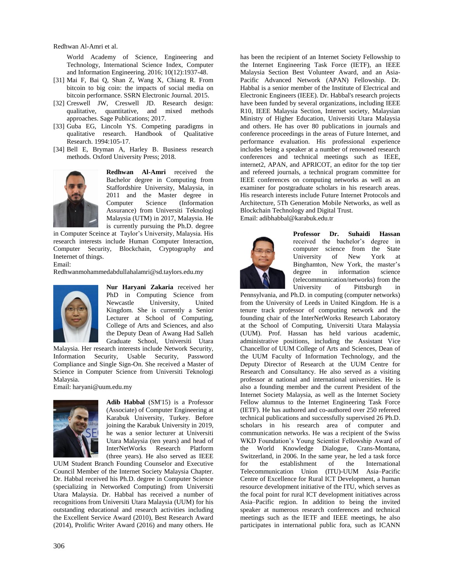World Academy of Science, Engineering and Technology, International Science Index, Computer and Information Engineering. 2016; 10(12):1937-48.

- [31] Mai F, Bai Q, Shan Z, Wang X, Chiang R. From bitcoin to big coin: the impacts of social media on bitcoin performance. SSRN Electronic Journal. 2015.
- [32] Creswell JW, Creswell JD. Research design: qualitative, quantitative, and mixed methods approaches. Sage Publications; 2017.
- [33] Guba EG, Lincoln YS. Competing paradigms in qualitative research. Handbook of Qualitative Research. 1994:105-17.
- [34] Bell E, Bryman A, Harley B. Business research methods. Oxford University Press; 2018.



**Redhwan Al-Amri** received the Bachelor degree in Computing from Staffordshire University, Malaysia, in 2011 and the Master degree in Computer Science (Information Assurance) from Universiti Teknologi Malaysia (UTM) in 2017, Malaysia. He is currently pursuing the Ph.D. degree

in Computer Sceince at Taylor's University, Malaysia. His research interests include Human Computer Interaction, Computer Security, Blockchain, Cryptography and Ineternet of things.

Email:

[Redhwanmohammedabdullahalamri@sd.taylors.e](mailto:Redhwanmohammedabdullahalamri@sd.taylors)du.my



**Nur Haryani Zakaria** received her PhD in Computing Science from Newcastle University, United Kingdom. She is currently a Senior Lecturer at School of Computing, College of Arts and Sciences, and also the Deputy Dean of Awang Had Salleh Graduate School, Universiti Utara

Malaysia. Her research interests include Network Security, Information Security, Usable Security, Password Compliance and Single Sign-On. She received a Master of Science in Computer Science from Universiti Teknologi Malaysia.

Email: [haryani@uum.edu.my](mailto:haryani@uum.edu.my)



**Adib Habbal** (SM'15) is a Professor (Associate) of Computer Engineering at Karabuk University, Turkey. Before joining the Karabuk University in 2019, he was a senior lecturer at Universiti Utara Malaysia (ten years) and head of InterNetWorks Research Platform (three years). He also served as IEEE

UUM Student Branch Founding Counselor and Executive Council Member of the Internet Society Malaysia Chapter. Dr. Habbal received his Ph.D. degree in Computer Science (specializing in Networked Computing) from Universiti Utara Malaysia. Dr. Habbal has received a number of recognitions from Universiti Utara Malaysia (UUM) for his outstanding educational and research activities including the Excellent Service Award (2010), Best Research Award (2014), Prolific Writer Award (2016) and many others. He

has been the recipient of an Internet Society Fellowship to the Internet Engineering Task Force (IETF), an IEEE Malaysia Section Best Volunteer Award, and an Asia-Pacific Advanced Network (APAN) Fellowship. Dr. Habbal is a senior member of the Institute of Electrical and Electronic Engineers (IEEE). Dr. Habbal's research projects have been funded by several organizations, including IEEE R10, IEEE Malaysia Section, Internet society, Malaysian Ministry of Higher Education, Universiti Utara Malaysia and others. He has over 80 publications in journals and conference proceedings in the areas of Future Internet, and performance evaluation. His professional experience includes being a speaker at a number of renowned research conferences and technical meetings such as IEEE, internet2, APAN, and APRICOT, an editor for the top tier and refereed journals, a technical program committee for IEEE conferences on computing networks as well as an examiner for postgraduate scholars in his research areas. His research interests include Future Internet Protocols and Architecture, 5Th Generation Mobile Networks, as well as Blockchain Technology and Digital Trust. Email: [adibhabbal@karabuk.edu.tr](mailto:adibhabbal@karabuk.edu.tr)



**Professor Dr. Suhaidi Hassan** received the bachelor's degree in computer science from the State University of New York at Binghamton, New York, the master's degree in information science (telecommunication/networks) from the University of Pittsburgh in

Pennsylvania, and Ph.D. in computing (computer networks) from the University of Leeds in United Kingdom. He is a tenure track professor of computing network and the founding chair of the InterNetWorks Research Laboratory at the School of Computing, Universiti Utara Malaysia (UUM). Prof. Hassan has held various academic, administrative positions, including the Assistant Vice Chancellor of UUM College of Arts and Sciences, Dean of the UUM Faculty of Information Technology, and the Deputy Director of Research at the UUM Centre for Research and Consultancy. He also served as a visiting professor at national and international universities. He is also a founding member and the current President of the Internet Society Malaysia, as well as the Internet Society Fellow alumnus to the Internet Engineering Task Force (IETF). He has authored and co-authored over 250 refereed technical publications and successfully supervised 26 Ph.D. scholars in his research area of computer and communication networks. He was a recipient of the Swiss WKD Foundation's Young Scientist Fellowship Award of the World Knowledge Dialogue, Crans-Montana, Switzerland, in 2006. In the same year, he led a task force for the establishment of the International Telecommunication Union (ITU)-UUM Asia–Pacific Centre of Excellence for Rural ICT Development, a human resource development initiative of the ITU, which serves as the focal point for rural ICT development initiatives across Asia–Pacific region. In addition to being the invited speaker at numerous research conferences and technical meetings such as the IETF and IEEE meetings, he also participates in international public fora, such as ICANN